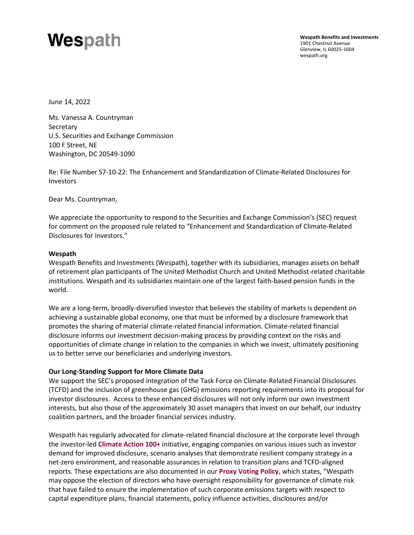# Wespath

**Wespath Benefits and Investments** 1901 Chestnut Avenue Glenview, IL 60025-1604 [wespath.org](https://www.wespath.org/)

June 14, 2022

Ms. Vanessa A. Countryman **Secretary** U.S. Securities and Exchange Commission 100 F Street, NE Washington, DC 20549-1090

Re: File Number S7-10-22: The Enhancement and Standardization of Climate-Related Disclosures for Investors

Dear Ms. Countryman,

We appreciate the opportunity to respond to the Securities and Exchange Commission's (SEC) request for comment on the proposed rule related to "Enhancement and Standardization of Climate-Related Disclosures for Investors."

# **Wespath**

Wespath Benefits and Investments (Wespath), together with its subsidiaries, manages assets on behalf of retirement plan participants of The United Methodist Church and United Methodist-related charitable institutions. Wespath and its subsidiaries maintain one of the largest faith-based pension funds in the world.

We are a long-term, broadly-diversified investor that believes the stability of markets is dependent on achieving a sustainable global economy, one that must be informed by a disclosure framework that promotes the sharing of material climate-related financial information. Climate-related financial disclosure informs our investment decision-making process by providing context on the risks and opportunities of climate change in relation to the companies in which we invest, ultimately positioning us to better serve our beneficiaries and underlying investors.

# **Our Long-Standing Support for More Climate Data**

We support the SEC's proposed integration of the Task Force on Climate-Related Financial Disclosures (TCFD) and the inclusion of greenhouse gas (GHG) emissions reporting requirements into its proposal for investor disclosures. Access to these enhanced disclosures will not only inform our own investment interests, but also those of the approximately 30 asset managers that invest on our behalf, our industry coalition partners, and the broader financial services industry.

Wespath has regularly advocated for climate-related financial disclosure at the corporate level through the investor-led **[Climate Action 100+](https://www.climateaction100.org/)** initiative, engaging companies on various issues such as investor demand for improved disclosure, scenario analyses that demonstrate resilient company strategy in a net-zero environment, and reasonable assurances in relation to transition plans and TCFD-aligned reports. These expectations are also documented in our **[Proxy Voting Policy](https://www.wespath.org/assets/1/7/5306.pdf)**, which states, "Wespath may oppose the election of directors who have oversight responsibility for governance of climate risk that have failed to ensure the implementation of such corporate emissions targets with respect to capital expenditure plans, financial statements, policy influence activities, disclosures and/or